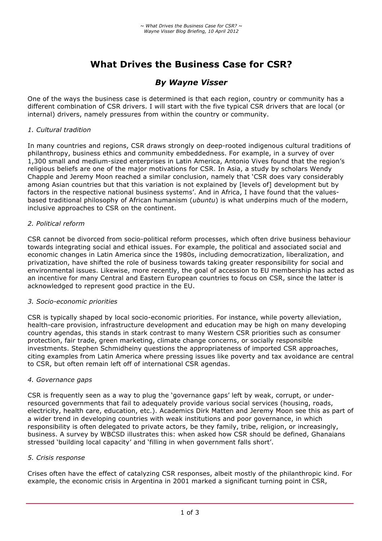# **What Drives the Business Case for CSR?**

## *By Wayne Visser*

One of the ways the business case is determined is that each region, country or community has a different combination of CSR drivers. I will start with the five typical CSR drivers that are local (or internal) drivers, namely pressures from within the country or community.

#### *1. Cultural tradition*

In many countries and regions, CSR draws strongly on deep-rooted indigenous cultural traditions of philanthropy, business ethics and community embeddedness. For example, in a survey of over 1,300 small and medium-sized enterprises in Latin America, Antonio Vives found that the region's religious beliefs are one of the major motivations for CSR. In Asia, a study by scholars Wendy Chapple and Jeremy Moon reached a similar conclusion, namely that 'CSR does vary considerably among Asian countries but that this variation is not explained by [levels of] development but by factors in the respective national business systems'. And in Africa, I have found that the valuesbased traditional philosophy of African humanism (*ubuntu*) is what underpins much of the modern, inclusive approaches to CSR on the continent.

#### *2. Political reform*

CSR cannot be divorced from socio-political reform processes, which often drive business behaviour towards integrating social and ethical issues. For example, the political and associated social and economic changes in Latin America since the 1980s, including democratization, liberalization, and privatization, have shifted the role of business towards taking greater responsibility for social and environmental issues. Likewise, more recently, the goal of accession to EU membership has acted as an incentive for many Central and Eastern European countries to focus on CSR, since the latter is acknowledged to represent good practice in the EU.

#### *3. Socio-economic priorities*

CSR is typically shaped by local socio-economic priorities. For instance, while poverty alleviation, health-care provision, infrastructure development and education may be high on many developing country agendas, this stands in stark contrast to many Western CSR priorities such as consumer protection, fair trade, green marketing, climate change concerns, or socially responsible investments. Stephen Schmidheiny questions the appropriateness of imported CSR approaches, citing examples from Latin America where pressing issues like poverty and tax avoidance are central to CSR, but often remain left off of international CSR agendas.

#### *4. Governance gaps*

CSR is frequently seen as a way to plug the 'governance gaps' left by weak, corrupt, or underresourced governments that fail to adequately provide various social services (housing, roads, electricity, health care, education, etc.). Academics Dirk Matten and Jeremy Moon see this as part of a wider trend in developing countries with weak institutions and poor governance, in which responsibility is often delegated to private actors, be they family, tribe, religion, or increasingly, business. A survey by WBCSD illustrates this: when asked how CSR should be defined, Ghanaians stressed 'building local capacity' and 'filling in when government falls short'.

#### *5. Crisis response*

Crises often have the effect of catalyzing CSR responses, albeit mostly of the philanthropic kind. For example, the economic crisis in Argentina in 2001 marked a significant turning point in CSR,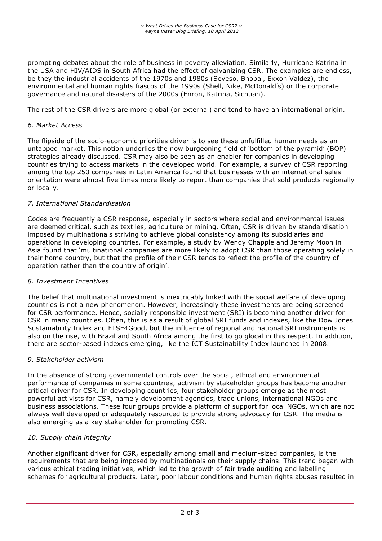prompting debates about the role of business in poverty alleviation. Similarly, Hurricane Katrina in the USA and HIV/AIDS in South Africa had the effect of galvanizing CSR. The examples are endless, be they the industrial accidents of the 1970s and 1980s (Seveso, Bhopal, Exxon Valdez), the environmental and human rights fiascos of the 1990s (Shell, Nike, McDonald's) or the corporate governance and natural disasters of the 2000s (Enron, Katrina, Sichuan).

The rest of the CSR drivers are more global (or external) and tend to have an international origin.

#### *6. Market Access*

The flipside of the socio-economic priorities driver is to see these unfulfilled human needs as an untapped market. This notion underlies the now burgeoning field of 'bottom of the pyramid' (BOP) strategies already discussed. CSR may also be seen as an enabler for companies in developing countries trying to access markets in the developed world. For example, a survey of CSR reporting among the top 250 companies in Latin America found that businesses with an international sales orientation were almost five times more likely to report than companies that sold products regionally or locally.

#### *7. International Standardisation*

Codes are frequently a CSR response, especially in sectors where social and environmental issues are deemed critical, such as textiles, agriculture or mining. Often, CSR is driven by standardisation imposed by multinationals striving to achieve global consistency among its subsidiaries and operations in developing countries. For example, a study by Wendy Chapple and Jeremy Moon in Asia found that 'multinational companies are more likely to adopt CSR than those operating solely in their home country, but that the profile of their CSR tends to reflect the profile of the country of operation rather than the country of origin'.

#### *8. Investment Incentives*

The belief that multinational investment is inextricably linked with the social welfare of developing countries is not a new phenomenon. However, increasingly these investments are being screened for CSR performance. Hence, socially responsible investment (SRI) is becoming another driver for CSR in many countries. Often, this is as a result of global SRI funds and indexes, like the Dow Jones Sustainability Index and FTSE4Good, but the influence of regional and national SRI instruments is also on the rise, with Brazil and South Africa among the first to go glocal in this respect. In addition, there are sector-based indexes emerging, like the ICT Sustainability Index launched in 2008.

#### *9. Stakeholder activism*

In the absence of strong governmental controls over the social, ethical and environmental performance of companies in some countries, activism by stakeholder groups has become another critical driver for CSR. In developing countries, four stakeholder groups emerge as the most powerful activists for CSR, namely development agencies, trade unions, international NGOs and business associations. These four groups provide a platform of support for local NGOs, which are not always well developed or adequately resourced to provide strong advocacy for CSR. The media is also emerging as a key stakeholder for promoting CSR.

## *10. Supply chain integrity*

Another significant driver for CSR, especially among small and medium-sized companies, is the requirements that are being imposed by multinationals on their supply chains. This trend began with various ethical trading initiatives, which led to the growth of fair trade auditing and labelling schemes for agricultural products. Later, poor labour conditions and human rights abuses resulted in